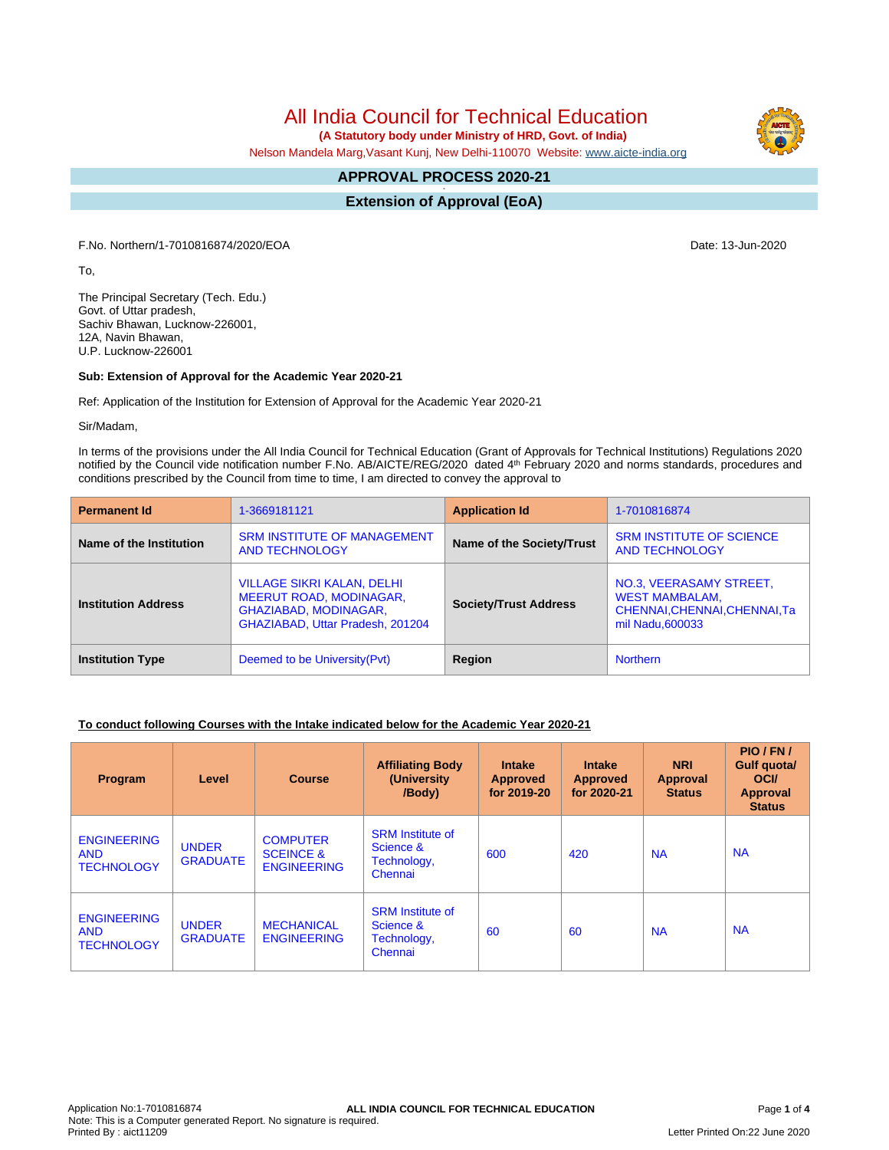# All India Council for Technical Education

 **(A Statutory body under Ministry of HRD, Govt. of India)**

Nelson Mandela Marg,Vasant Kunj, New Delhi-110070 Website: [www.aicte-india.org](http://www.aicte-india.org)

#### **APPROVAL PROCESS 2020-21 -**

**Extension of Approval (EoA)**

F.No. Northern/1-7010816874/2020/EOA Date: 13-Jun-2020

To,

The Principal Secretary (Tech. Edu.) Govt. of Uttar pradesh, Sachiv Bhawan, Lucknow-226001, 12A, Navin Bhawan, U.P. Lucknow-226001

### **Sub: Extension of Approval for the Academic Year 2020-21**

Ref: Application of the Institution for Extension of Approval for the Academic Year 2020-21

Sir/Madam,

In terms of the provisions under the All India Council for Technical Education (Grant of Approvals for Technical Institutions) Regulations 2020 notified by the Council vide notification number F.No. AB/AICTE/REG/2020 dated 4<sup>th</sup> February 2020 and norms standards, procedures and conditions prescribed by the Council from time to time, I am directed to convey the approval to

| <b>Permanent Id</b>        | 1-3669181121                                                                                                                     | <b>Application Id</b>        | 1-7010816874                                                                                          |  |
|----------------------------|----------------------------------------------------------------------------------------------------------------------------------|------------------------------|-------------------------------------------------------------------------------------------------------|--|
| Name of the Institution    | <b>SRM INSTITUTE OF MANAGEMENT</b><br><b>AND TECHNOLOGY</b>                                                                      | Name of the Society/Trust    | <b>SRM INSTITUTE OF SCIENCE</b><br><b>AND TECHNOLOGY</b>                                              |  |
| <b>Institution Address</b> | <b>VILLAGE SIKRI KALAN, DELHI</b><br><b>MEERUT ROAD, MODINAGAR,</b><br>GHAZIABAD, MODINAGAR,<br>GHAZIABAD, Uttar Pradesh, 201204 | <b>Society/Trust Address</b> | NO.3, VEERASAMY STREET,<br><b>WEST MAMBALAM,</b><br>CHENNAI, CHENNAI, CHENNAI, Ta<br>mil Nadu, 600033 |  |
| <b>Institution Type</b>    | Deemed to be University (Pvt)                                                                                                    | Region                       | <b>Northern</b>                                                                                       |  |

### **To conduct following Courses with the Intake indicated below for the Academic Year 2020-21**

| Program                                               | Level                           | <b>Course</b>                                                 | <b>Affiliating Body</b><br>(University)<br>/Body)              | <b>Intake</b><br><b>Approved</b><br>for 2019-20 | <b>Intake</b><br>Approved<br>for 2020-21 | <b>NRI</b><br><b>Approval</b><br><b>Status</b> | PIO/FN/<br>Gulf quota/<br><b>OCI</b><br>Approval<br><b>Status</b> |
|-------------------------------------------------------|---------------------------------|---------------------------------------------------------------|----------------------------------------------------------------|-------------------------------------------------|------------------------------------------|------------------------------------------------|-------------------------------------------------------------------|
| <b>ENGINEERING</b><br><b>AND</b><br><b>TECHNOLOGY</b> | <b>UNDER</b><br><b>GRADUATE</b> | <b>COMPUTER</b><br><b>SCEINCE &amp;</b><br><b>ENGINEERING</b> | <b>SRM</b> Institute of<br>Science &<br>Technology,<br>Chennai | 600                                             | 420                                      | <b>NA</b>                                      | <b>NA</b>                                                         |
| <b>ENGINEERING</b><br><b>AND</b><br><b>TECHNOLOGY</b> | <b>UNDER</b><br><b>GRADUATE</b> | <b>MECHANICAL</b><br><b>ENGINEERING</b>                       | <b>SRM</b> Institute of<br>Science &<br>Technology,<br>Chennai | 60                                              | 60                                       | <b>NA</b>                                      | <b>NA</b>                                                         |

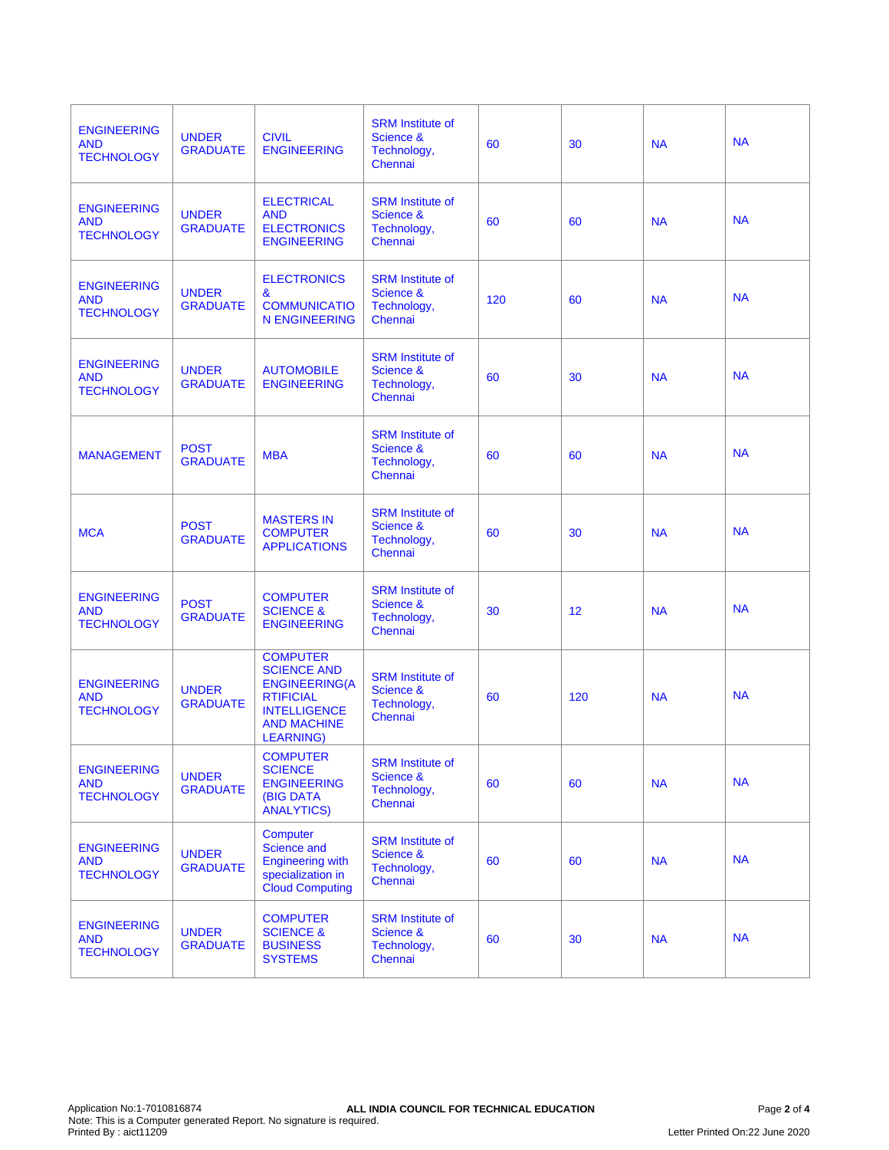| <b>ENGINEERING</b><br><b>AND</b><br><b>TECHNOLOGY</b> | <b>UNDER</b><br><b>GRADUATE</b> | <b>CIVIL</b><br><b>ENGINEERING</b>                                                                                                          | <b>SRM</b> Institute of<br>Science &<br>Technology,<br>Chennai | 60  | 30  | <b>NA</b> | <b>NA</b> |
|-------------------------------------------------------|---------------------------------|---------------------------------------------------------------------------------------------------------------------------------------------|----------------------------------------------------------------|-----|-----|-----------|-----------|
| <b>ENGINEERING</b><br><b>AND</b><br><b>TECHNOLOGY</b> | <b>UNDER</b><br><b>GRADUATE</b> | <b>ELECTRICAL</b><br><b>AND</b><br><b>ELECTRONICS</b><br><b>ENGINEERING</b>                                                                 | <b>SRM</b> Institute of<br>Science &<br>Technology,<br>Chennai | 60  | 60  | <b>NA</b> | <b>NA</b> |
| <b>ENGINEERING</b><br><b>AND</b><br><b>TECHNOLOGY</b> | <b>UNDER</b><br><b>GRADUATE</b> | <b>ELECTRONICS</b><br>&<br><b>COMMUNICATIO</b><br><b>N ENGINEERING</b>                                                                      | <b>SRM</b> Institute of<br>Science &<br>Technology,<br>Chennai | 120 | 60  | <b>NA</b> | <b>NA</b> |
| <b>ENGINEERING</b><br><b>AND</b><br><b>TECHNOLOGY</b> | <b>UNDER</b><br><b>GRADUATE</b> | <b>AUTOMOBILE</b><br><b>ENGINEERING</b>                                                                                                     | <b>SRM</b> Institute of<br>Science &<br>Technology,<br>Chennai | 60  | 30  | <b>NA</b> | <b>NA</b> |
| <b>MANAGEMENT</b>                                     | <b>POST</b><br><b>GRADUATE</b>  | <b>MBA</b>                                                                                                                                  | <b>SRM</b> Institute of<br>Science &<br>Technology,<br>Chennai | 60  | 60  | <b>NA</b> | <b>NA</b> |
| <b>MCA</b>                                            | <b>POST</b><br><b>GRADUATE</b>  | <b>MASTERS IN</b><br><b>COMPUTER</b><br><b>APPLICATIONS</b>                                                                                 | <b>SRM</b> Institute of<br>Science &<br>Technology,<br>Chennai | 60  | 30  | <b>NA</b> | <b>NA</b> |
| <b>ENGINEERING</b><br><b>AND</b><br><b>TECHNOLOGY</b> | <b>POST</b><br><b>GRADUATE</b>  | <b>COMPUTER</b><br><b>SCIENCE &amp;</b><br><b>ENGINEERING</b>                                                                               | <b>SRM</b> Institute of<br>Science &<br>Technology,<br>Chennai | 30  | 12  | <b>NA</b> | <b>NA</b> |
| <b>ENGINEERING</b><br><b>AND</b><br><b>TECHNOLOGY</b> | <b>UNDER</b><br><b>GRADUATE</b> | <b>COMPUTER</b><br><b>SCIENCE AND</b><br><b>ENGINEERING(A</b><br><b>RTIFICIAL</b><br><b>INTELLIGENCE</b><br><b>AND MACHINE</b><br>LEARNING) | <b>SRM</b> Institute of<br>Science &<br>Technology,<br>Chennai | 60  | 120 | <b>NA</b> | <b>NA</b> |
| <b>ENGINEERING</b><br><b>AND</b><br><b>TECHNOLOGY</b> | <b>UNDER</b><br><b>GRADUATE</b> | <b>COMPUTER</b><br><b>SCIENCE</b><br><b>ENGINEERING</b><br><b>(BIG DATA</b><br><b>ANALYTICS)</b>                                            | <b>SRM</b> Institute of<br>Science &<br>Technology,<br>Chennai | 60  | 60  | <b>NA</b> | <b>NA</b> |
| <b>ENGINEERING</b><br><b>AND</b><br><b>TECHNOLOGY</b> | <b>UNDER</b><br><b>GRADUATE</b> | <b>Computer</b><br>Science and<br><b>Engineering with</b><br>specialization in<br><b>Cloud Computing</b>                                    | <b>SRM</b> Institute of<br>Science &<br>Technology,<br>Chennai | 60  | 60  | <b>NA</b> | <b>NA</b> |
| <b>ENGINEERING</b><br><b>AND</b><br><b>TECHNOLOGY</b> | <b>UNDER</b><br><b>GRADUATE</b> | <b>COMPUTER</b><br><b>SCIENCE &amp;</b><br><b>BUSINESS</b><br><b>SYSTEMS</b>                                                                | <b>SRM</b> Institute of<br>Science &<br>Technology,<br>Chennai | 60  | 30  | <b>NA</b> | <b>NA</b> |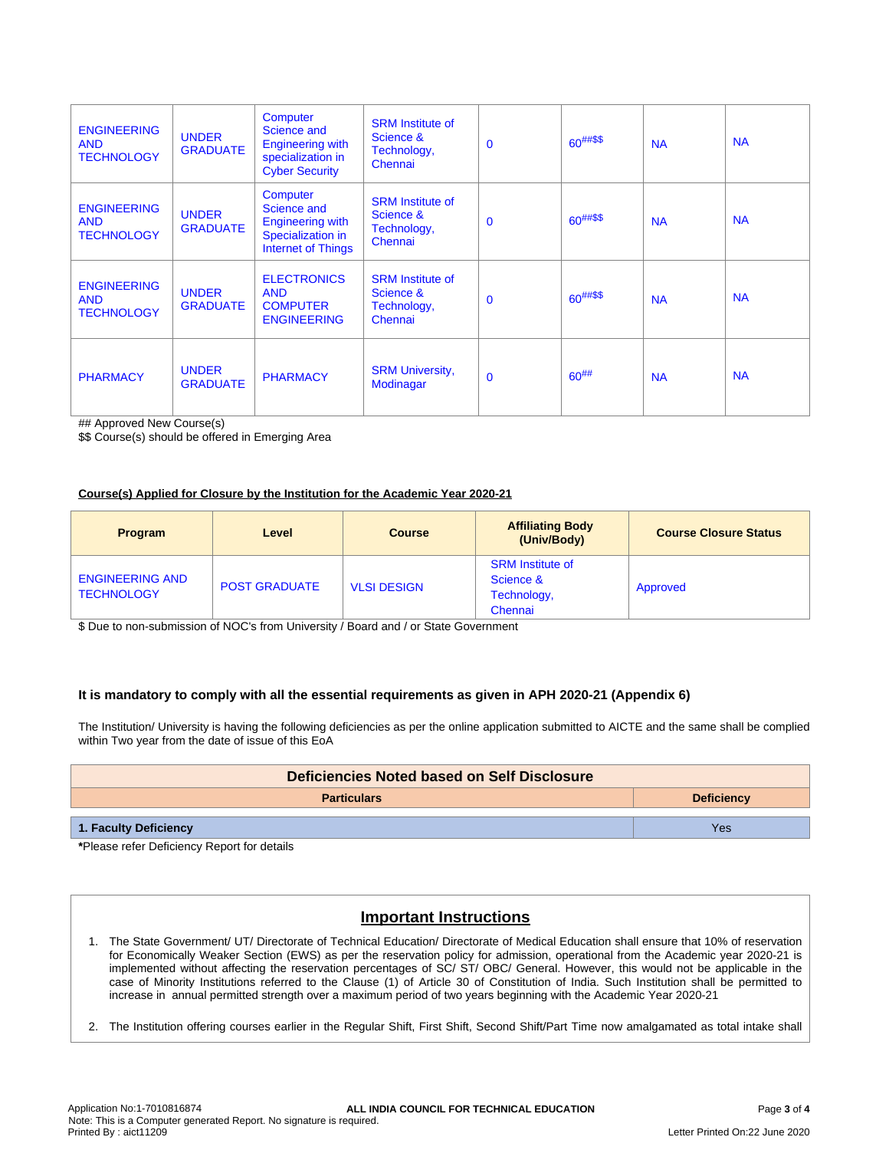| <b>ENGINEERING</b><br><b>AND</b><br><b>TECHNOLOGY</b> | <b>UNDER</b><br><b>GRADUATE</b> | Computer<br>Science and<br><b>Engineering with</b><br>specialization in<br><b>Cyber Security</b> | <b>SRM</b> Institute of<br>Science &<br>Technology,<br>Chennai | $\mathbf 0$  | $60^{##\$\$}$ | <b>NA</b> | <b>NA</b> |
|-------------------------------------------------------|---------------------------------|--------------------------------------------------------------------------------------------------|----------------------------------------------------------------|--------------|---------------|-----------|-----------|
| <b>ENGINEERING</b><br><b>AND</b><br><b>TECHNOLOGY</b> | <b>UNDER</b><br><b>GRADUATE</b> | Computer<br>Science and<br>Engineering with<br>Specialization in<br><b>Internet of Things</b>    | <b>SRM</b> Institute of<br>Science &<br>Technology,<br>Chennai | $\mathbf{0}$ | $60^{##\$\$}$ | <b>NA</b> | <b>NA</b> |
| <b>ENGINEERING</b><br><b>AND</b><br><b>TECHNOLOGY</b> | <b>UNDER</b><br><b>GRADUATE</b> | <b>ELECTRONICS</b><br><b>AND</b><br><b>COMPUTER</b><br><b>ENGINEERING</b>                        | <b>SRM</b> Institute of<br>Science &<br>Technology,<br>Chennai | $\mathbf{0}$ | $60^{##\$\$}$ | <b>NA</b> | <b>NA</b> |
| <b>PHARMACY</b>                                       | <b>UNDER</b><br><b>GRADUATE</b> | <b>PHARMACY</b>                                                                                  | <b>SRM University,</b><br>Modinagar                            | $\mathbf 0$  | $60^{#}\%$    | <b>NA</b> | <b>NA</b> |

## Approved New Course(s)

\$\$ Course(s) should be offered in Emerging Area

#### **Course(s) Applied for Closure by the Institution for the Academic Year 2020-21**

| <b>Program</b>                              | Level                | <b>Course</b>      | <b>Affiliating Body</b><br>(Univ/Body)                         | <b>Course Closure Status</b> |
|---------------------------------------------|----------------------|--------------------|----------------------------------------------------------------|------------------------------|
| <b>ENGINEERING AND</b><br><b>TECHNOLOGY</b> | <b>POST GRADUATE</b> | <b>VLSI DESIGN</b> | <b>SRM</b> Institute of<br>Science &<br>Technology,<br>Chennai | Approved                     |

\$ Due to non-submission of NOC's from University / Board and / or State Government

### **It is mandatory to comply with all the essential requirements as given in APH 2020-21 (Appendix 6)**

The Institution/ University is having the following deficiencies as per the online application submitted to AICTE and the same shall be complied within Two year from the date of issue of this EoA

| Deficiencies Noted based on Self Disclosure |                   |  |  |  |
|---------------------------------------------|-------------------|--|--|--|
| <b>Particulars</b>                          | <b>Deficiency</b> |  |  |  |
| 1. Faculty Deficiency                       | Yes               |  |  |  |

**\***Please refer Deficiency Report for details

## **Important Instructions**

- 1. The State Government/ UT/ Directorate of Technical Education/ Directorate of Medical Education shall ensure that 10% of reservation for Economically Weaker Section (EWS) as per the reservation policy for admission, operational from the Academic year 2020-21 is implemented without affecting the reservation percentages of SC/ ST/ OBC/ General. However, this would not be applicable in the case of Minority Institutions referred to the Clause (1) of Article 30 of Constitution of India. Such Institution shall be permitted to increase in annual permitted strength over a maximum period of two years beginning with the Academic Year 2020-21
- 2. The Institution offering courses earlier in the Regular Shift, First Shift, Second Shift/Part Time now amalgamated as total intake shall